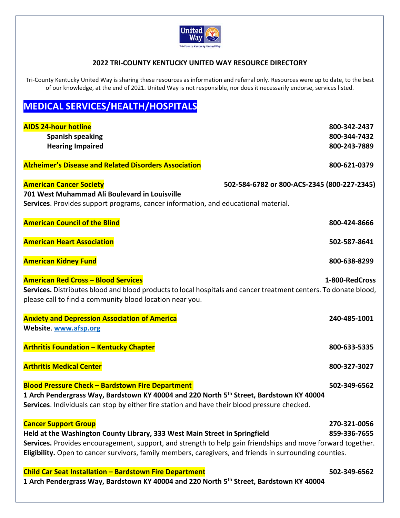

## **2022 TRI‐COUNTY KENTUCKY UNITED WAY RESOURCE DIRECTORY**

Tri-County Kentucky United Way is sharing these resources as information and referral only. Resources were up to date, to the best of our knowledge, at the end of 2021. United Way is not responsible, nor does it necessarily endorse, services listed.

## **MEDICAL SERVICES/HEALTH/HOSPITALS**

| <b>AIDS 24-hour hotline</b><br><b>Spanish speaking</b><br><b>Hearing Impaired</b>                                                                                                                                                                                                                                                   | 800-342-2437<br>800-344-7432<br>800-243-7889 |
|-------------------------------------------------------------------------------------------------------------------------------------------------------------------------------------------------------------------------------------------------------------------------------------------------------------------------------------|----------------------------------------------|
| <b>Alzheimer's Disease and Related Disorders Association</b>                                                                                                                                                                                                                                                                        | 800-621-0379                                 |
| <b>American Cancer Society</b><br>502-584-6782 or 800-ACS-2345 (800-227-2345)<br>701 West Muhammad Ali Boulevard in Louisville<br>Services. Provides support programs, cancer information, and educational material.                                                                                                                |                                              |
| <b>American Council of the Blind</b>                                                                                                                                                                                                                                                                                                | 800-424-8666                                 |
| <b>American Heart Association</b>                                                                                                                                                                                                                                                                                                   | 502-587-8641                                 |
| <b>American Kidney Fund</b>                                                                                                                                                                                                                                                                                                         | 800-638-8299                                 |
| <b>American Red Cross - Blood Services</b><br>Services. Distributes blood and blood products to local hospitals and cancer treatment centers. To donate blood,<br>please call to find a community blood location near you.                                                                                                          | 1-800-RedCross                               |
| <b>Anxiety and Depression Association of America</b><br>Website. www.afsp.org                                                                                                                                                                                                                                                       | 240-485-1001                                 |
| <b>Arthritis Foundation - Kentucky Chapter</b>                                                                                                                                                                                                                                                                                      | 800-633-5335                                 |
| <b>Arthritis Medical Center</b>                                                                                                                                                                                                                                                                                                     | 800-327-3027                                 |
| <b>Blood Pressure Check - Bardstown Fire Department</b><br>1 Arch Pendergrass Way, Bardstown KY 40004 and 220 North 5 <sup>th</sup> Street, Bardstown KY 40004<br>Services. Individuals can stop by either fire station and have their blood pressure checked.                                                                      | 502-349-6562                                 |
| <b>Cancer Support Group</b><br>Held at the Washington County Library, 333 West Main Street in Springfield<br>Services. Provides encouragement, support, and strength to help gain friendships and move forward together.<br>Eligibility. Open to cancer survivors, family members, caregivers, and friends in surrounding counties. | 270-321-0056<br>859-336-7655                 |
| <b>Child Car Seat Installation - Bardstown Fire Department</b><br>1 Arch Pendergrass Way, Bardstown KY 40004 and 220 North 5 <sup>th</sup> Street, Bardstown KY 40004                                                                                                                                                               | 502-349-6562                                 |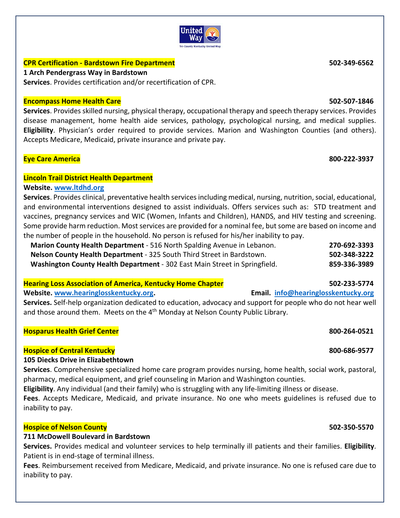## **CPR Certification ‐ Bardstown Fire Department 502‐349‐6562**

**1 Arch Pendergrass Way in Bardstown** 

**Services**. Provides certification and/or recertification of CPR.

## **Encompass Home Health Care 502‐507‐1846**

**Services**. Provides skilled nursing, physical therapy, occupational therapy and speech therapy services. Provides disease management, home health aide services, pathology, psychological nursing, and medical supplies. **Eligibility**. Physician's order required to provide services. Marion and Washington Counties (and others). Accepts Medicare, Medicaid, private insurance and private pay.

## **Eye Care America 800‐222‐3937**

## **Lincoln Trail District Health Department**

## **Website. www.ltdhd.org**

**Services**. Provides clinical, preventative health services including medical, nursing, nutrition, social, educational, and environmental interventions designed to assist individuals. Offers services such as: STD treatment and vaccines, pregnancy services and WIC (Women, Infants and Children), HANDS, and HIV testing and screening. Some provide harm reduction. Most services are provided for a nominal fee, but some are based on income and the number of people in the household. No person is refused for his/her inability to pay.

| Marion County Health Department - 516 North Spalding Avenue in Lebanon.    | 270-692-3393 |
|----------------------------------------------------------------------------|--------------|
| Nelson County Health Department - 325 South Third Street in Bardstown.     | 502-348-3222 |
| Washington County Health Department - 302 East Main Street in Springfield. | 859-336-3989 |

## **Hearing Loss Association of America, Kentucky Home Chapter 502‐233‐5774**

Website. www.hearinglosskentucky.org. **<b>Email.** info@hearinglosskentucky.org

**Services.** Self‐help organization dedicated to education, advocacy and support for people who do not hear well and those around them. Meets on the 4<sup>th</sup> Monday at Nelson County Public Library.

## **Hosparus Health Grief Center 800‐264‐0521**

## **Hospice of Central Kentucky 800‐686‐9577**

## **105 Diecks Drive in Elizabethtown**

**Services**. Comprehensive specialized home care program provides nursing, home health, social work, pastoral, pharmacy, medical equipment, and grief counseling in Marion and Washington counties.

**Eligibility**. Any individual (and their family) who is struggling with any life‐limiting illness or disease.

**Fees**. Accepts Medicare, Medicaid, and private insurance. No one who meets guidelines is refused due to inability to pay.

## **Hospice of Nelson County 502‐350‐5570**

## **711 McDowell Boulevard in Bardstown**

**Services.** Provides medical and volunteer services to help terminally ill patients and their families. **Eligibility**. Patient is in end‐stage of terminal illness.

**Fees**. Reimbursement received from Medicare, Medicaid, and private insurance. No one is refused care due to inability to pay.

## United wav **Tri-County Kentucky United Way**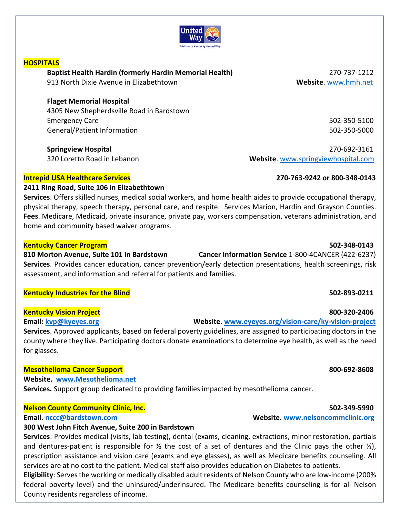## United Wav

## **HOSPITALS**

**Baptist Health Hardin (formerly Hardin Memorial Health)**  270‐737‐1212 913 North Dixie Avenue in Elizabethtown **Website**. www.hmh.net

## **Flaget Memorial Hospital**

4305 New Shepherdsville Road in Bardstown Emergency Care 502‐350‐5100 General/Patient Information 502‐350‐5000

## **Intrepid USA Healthcare Services 270‐763‐9242 or 800‐348‐0143**

## **2411 Ring Road, Suite 106 in Elizabethtown**

**Services**. Offers skilled nurses, medical social workers, and home health aides to provide occupational therapy, physical therapy, speech therapy, personal care, and respite. Services Marion, Hardin and Grayson Counties. **Fees**. Medicare, Medicaid, private insurance, private pay, workers compensation, veterans administration, and home and community based waiver programs.

## **Kentucky Cancer Program 502‐348‐0143**

**810 Morton Avenue, Suite 101 in Bardstown Cancer Information Service** 1‐800‐4CANCER (422‐6237) **Services**. Provides cancer education, cancer prevention/early detection presentations, health screenings, risk assessment, and information and referral for patients and families.

## **Kentucky Industries for the Blind 502‐893‐0211**

## **Kentucky Vision Project 800‐320‐2406**

**Services**. Approved applicants, based on federal poverty guidelines, are assigned to participating doctors in the county where they live. Participating doctors donate examinations to determine eye health, as well as the need for glasses.

## **Mesothelioma Cancer Support 800‐692‐8608**

**Website. www.Mesothelioma.net**

**Services.** Support group dedicated to providing families impacted by mesothelioma cancer.

## **Nelson County Community Clinic, Inc. 502‐349‐5990**

## **300 West John Fitch Avenue, Suite 200 in Bardstown**

**Services**: Provides medical (visits, lab testing), dental (exams, cleaning, extractions, minor restoration, partials and dentures-patient is responsible for  $\frac{1}{2}$  the cost of a set of dentures and the Clinic pays the other  $\frac{1}{2}$ , prescription assistance and vision care (exams and eye glasses), as well as Medicare benefits counseling. All services are at no cost to the patient. Medical staff also provides education on Diabetes to patients.

**Eligibility**: Serves the working or medically disabled adult residents of Nelson County who are low‐income (200% federal poverty level) and the uninsured/underinsured. The Medicare benefits counseling is for all Nelson County residents regardless of income.

**Springview Hospital**  270‐692‐3161 320 Loretto Road in Lebanon **Website**. www.springviewhospital.com

## **Email: kvp@kyeyes.org Website. www.eyeyes.org/vision‐care/ky‐vision‐project**

## **Email. nccc@bardstown.com Website. www.nelsoncommclinic.org**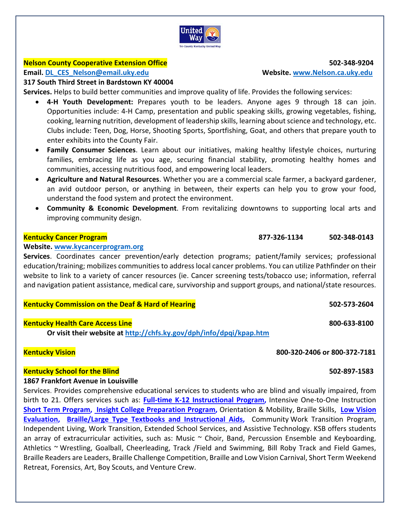

## **Nelson County Cooperative Extension Office 502‐348‐9204**

## **Email. DL\_CES\_Nelson@email.uky.edu Website. www.Nelson.ca.uky.edu**

## **317 South Third Street in Bardstown KY 40004**

**Services.** Helps to build better communities and improve quality of life. Provides the following services:

- **4‐H Youth Development:**  Prepares youth to be leaders. Anyone ages 9 through 18 can join. Opportunities include: 4‐H Camp, presentation and public speaking skills, growing vegetables, fishing, cooking, learning nutrition, development of leadership skills, learning about science and technology, etc. Clubs include: Teen, Dog, Horse, Shooting Sports, Sportfishing, Goat, and others that prepare youth to enter exhibits into the County Fair.
- **Family Consumer Sciences**. Learn about our initiatives, making healthy lifestyle choices, nurturing families, embracing life as you age, securing financial stability, promoting healthy homes and communities, accessing nutritious food, and empowering local leaders.
- **Agriculture and Natural Resources**. Whether you are a commercial scale farmer, a backyard gardener, an avid outdoor person, or anything in between, their experts can help you to grow your food, understand the food system and protect the environment.
- **Community & Economic Development**. From revitalizing downtowns to supporting local arts and improving community design.

## **Kentucky Cancer Program 877‐326‐1134 502‐348‐0143**

## **Website. www.kycancerprogram.org**

**Services**. Coordinates cancer prevention/early detection programs; patient/family services; professional education/training; mobilizes communities to address local cancer problems. You can utilize Pathfinder on their website to link to a variety of cancer resources (ie. Cancer screening tests/tobacco use; information, referral and navigation patient assistance, medical care, survivorship and support groups, and national/state resources.

## **Kentucky Commission on the Deaf & Hard of Hearing 502‐573‐2604**

## **Kentucky Health Care Access Line 800‐633‐8100**

 **Or visit their website at http://chfs.ky.gov/dph/info/dpqi/kpap.htm**

## **Kentucky Vision 800‐320‐2406 or 800‐372‐7181**

## **Kentucky School for the Blind 502‐897‐1583**

## **1867 Frankfort Avenue in Louisville**

**Services**. Provides comprehensive educational services to students who are blind and visually impaired, from birth to 21. Offers services such as: **Full‐time K‐12 Instructional Program,** Intensive One‐to‐One Instruction **Short Term Program, Insight College Preparation Program,** Orientation & Mobility, Braille Skills,  **Low Vision Evaluation, Braille/Large Type Textbooks and Instructional Aids, Community Work Transition Program,** Independent Living, Work Transition, Extended School Services, and Assistive Technology. KSB offers students an array of extracurricular activities, such as: Music  $\sim$  Choir, Band, Percussion Ensemble and Keyboarding, Athletics ~ Wrestling, Goalball, Cheerleading, Track /Field and Swimming, Bill Roby Track and Field Games, Braille Readers are Leaders, Braille Challenge Competition, Braille and Low Vision Carnival, Short Term Weekend Retreat, Forensics, Art, Boy Scouts, and Venture Crew.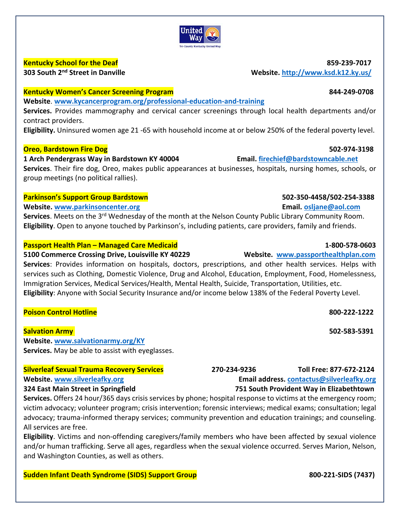

**Kentucky School for the Deaf 859‐239‐7017** 

## **Kentucky Women's Cancer Screening Program 844‐249‐0708**

**Website**. **www.kycancerprogram.org/professional‐education‐and‐training** 

Services. Provides mammography and cervical cancer screenings through local health departments and/or contract providers.

**Eligibility.** Uninsured women age 21 ‐65 with household income at or below 250% of the federal poverty level.

## **Oreo, Bardstown Fire Dog 502‐974‐3198**

**1 Arch Pendergrass Way in Bardstown KY 40004 Email. firechief@bardstowncable.net Services**. Their fire dog, Oreo, makes public appearances at businesses, hospitals, nursing homes, schools, or group meetings (no political rallies).

## **Parkinson's Support Group Bardstown 502‐350‐4458/502‐254‐3388**

## **Website. www.parkinsoncenter.org Email. osljane@aol.com**

**Services**. Meets on the 3<sup>rd</sup> Wednesday of the month at the Nelson County Public Library Community Room. **Eligibility**. Open to anyone touched by Parkinson's, including patients, care providers, family and friends.

## **Passport Health Plan – Managed Care Medicaid 1‐800‐578‐0603**

**5100 Commerce Crossing Drive, Louisville KY 40229 Website. www.passporthealthplan.com**

**Services**: Provides information on hospitals, doctors, prescriptions, and other health services. Helps with services such as Clothing, Domestic Violence, Drug and Alcohol, Education, Employment, Food, Homelessness, Immigration Services, Medical Services/Health, Mental Health, Suicide, Transportation, Utilities, etc. **Eligibility**: Anyone with Social Security Insurance and/or income below 138% of the Federal Poverty Level.

## **Poison Control Hotline 800‐222‐1222**

**Salvation Army 502‐583‐5391** 

**Website. www.salvationarmy.org/KY Services.** May be able to assist with eyeglasses.

## **Silverleaf Sexual Trauma Recovery Services 270‐234‐9236 Toll Free: 877‐672‐2124 Website. www.silverleafky.org Email address. contactus@silverleafky.org**

## **324 East Main Street in Springfield 751 South Provident Way in Elizabethtown**

**Services.** Offers 24 hour/365 days crisis services by phone; hospital response to victims at the emergency room; victim advocacy; volunteer program; crisis intervention; forensic interviews; medical exams; consultation; legal advocacy; trauma‐informed therapy services; community prevention and education trainings; and counseling. All services are free.

**Eligibility**. Victims and non‐offending caregivers/family members who have been affected by sexual violence and/or human trafficking. Serve all ages, regardless when the sexual violence occurred. Serves Marion, Nelson, and Washington Counties, as well as others.

## **Sudden Infant Death Syndrome (SIDS) Support Group 800‐221‐SIDS (7437)**

# **303 South 2nd Street in Danville Website. http://www.ksd.k12.ky.us/**